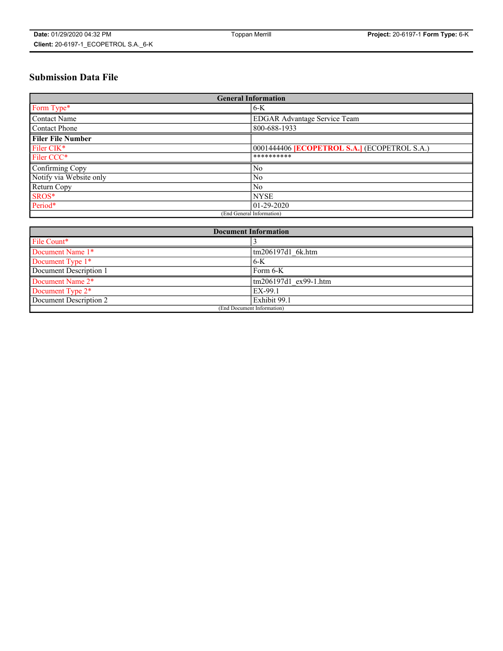# **Submission Data File**

| <b>General Information</b> |                                                     |
|----------------------------|-----------------------------------------------------|
| Form Type*                 | $6-K$                                               |
| Contact Name               | <b>EDGAR Advantage Service Team</b>                 |
| Contact Phone              | 800-688-1933                                        |
| <b>Filer File Number</b>   |                                                     |
| Filer CIK*                 | 0001444406 <b>[ECOPETROL S.A.]</b> (ECOPETROL S.A.) |
| Filer CCC*                 | **********                                          |
| Confirming Copy            | N <sub>0</sub>                                      |
| Notify via Website only    | N <sub>0</sub>                                      |
| Return Copy                | N <sub>0</sub>                                      |
| SROS*                      | <b>NYSE</b>                                         |
| Period*                    | $01 - 29 - 2020$                                    |
| (End General Information)  |                                                     |

| <b>Document Information</b> |                       |
|-----------------------------|-----------------------|
| File Count*                 |                       |
| Document Name 1*            | tm206197d1 6k.htm     |
| Document Type 1*            | $6-K$                 |
| Document Description 1      | Form 6-K              |
| Document Name 2*            | tm206197d1 ex99-1.htm |
| Document Type 2*            | EX-99.1               |
| Document Description 2      | Exhibit 99.1          |
| (End Document Information)  |                       |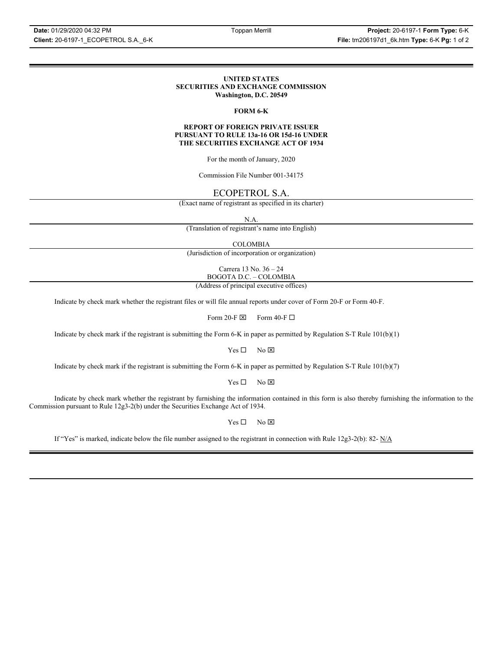### **UNITED STATES SECURITIES AND EXCHANGE COMMISSION Washington, D.C. 20549**

## **FORM 6-K**

### **REPORT OF FOREIGN PRIVATE ISSUER PURSUANT TO RULE 13a-16 OR 15d-16 UNDER THE SECURITIES EXCHANGE ACT OF 1934**

For the month of January, 2020

Commission File Number 001-34175

# ECOPETROL S.A.

(Exact name of registrant as specified in its charter)

N.A.

(Translation of registrant's name into English)

COLOMBIA

(Jurisdiction of incorporation or organization)

Carrera 13 No. 36 – 24 BOGOTA D.C. – COLOMBIA

(Address of principal executive offices)

Indicate by check mark whether the registrant files or will file annual reports under cover of Form 20-F or Form 40-F.

Form 20-F  $\boxtimes$  Form 40-F  $\Box$ 

Indicate by check mark if the registrant is submitting the Form 6-K in paper as permitted by Regulation S-T Rule 101(b)(1)

 $Yes \Box$  No  $\boxtimes$ 

Indicate by check mark if the registrant is submitting the Form 6-K in paper as permitted by Regulation S-T Rule 101(b)(7)

 $Yes \Box$  No  $\boxtimes$ 

Indicate by check mark whether the registrant by furnishing the information contained in this form is also thereby furnishing the information to the Commission pursuant to Rule 12g3-2(b) under the Securities Exchange Act of 1934.

 $Yes \Box$  No  $\boxtimes$ 

If "Yes" is marked, indicate below the file number assigned to the registrant in connection with Rule 12g3-2(b): 82-  $N/A$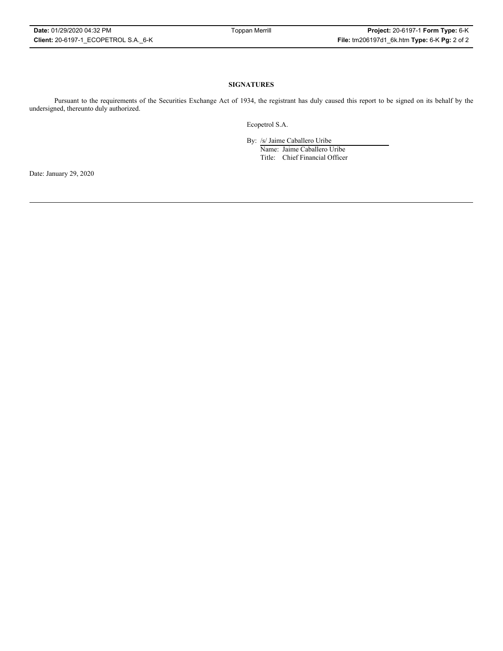## **SIGNATURES**

Pursuant to the requirements of the Securities Exchange Act of 1934, the registrant has duly caused this report to be signed on its behalf by the undersigned, thereunto duly authorized.

Ecopetrol S.A.

By: /s/ Jaime Caballero Uribe

Name: Jaime Caballero Uribe Title: Chief Financial Officer

Date: January 29, 2020